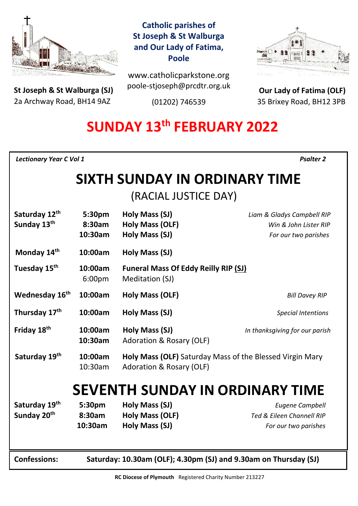

**St Joseph & St Walburga (SJ)** 2a Archway Road, BH14 9AZ 

**Catholic parishes of St Joseph & St Walburga and Our Lady of Fatima, Poole**

www.catholicparkstone.org poole-stjoseph@prcdtr.org.uk

(01202) 746539



**Our Lady of Fatima (OLF)** 35 Brixey Road, BH12 3PB

# **SUNDAY 13th FEBRUARY 2022**

*Lectionary Year C Vol 1**Psalter 2* 

# **SIXTH SUNDAY IN ORDINARY TIME**

(RACIAL JUSTICE DAY)

| Saturday 12th<br>Sunday 13th           | 5:30pm<br>8:30am<br>10:30am                                      | Holy Mass (SJ)<br>Holy Mass (OLF)<br>Holy Mass (SJ)                                  | Liam & Gladys Campbell RIP<br>Win & John Lister RIP<br>For our two parishes |
|----------------------------------------|------------------------------------------------------------------|--------------------------------------------------------------------------------------|-----------------------------------------------------------------------------|
| Monday 14th                            | 10:00am                                                          | Holy Mass (SJ)                                                                       |                                                                             |
| Tuesday 15 <sup>th</sup>               | 10:00am<br>6:00pm                                                | <b>Funeral Mass Of Eddy Reilly RIP (SJ)</b><br>Meditation (SJ)                       |                                                                             |
| Wednesday 16th                         | 10:00am                                                          | Holy Mass (OLF)                                                                      | <b>Bill Davey RIP</b>                                                       |
| Thursday 17th                          | 10:00am                                                          | <b>Holy Mass (SJ)</b>                                                                | <b>Special Intentions</b>                                                   |
| Friday 18 <sup>th</sup>                | 10:00am<br>10:30am                                               | Holy Mass (SJ)<br><b>Adoration &amp; Rosary (OLF)</b>                                | In thanksgiving for our parish                                              |
| Saturday 19th                          | 10:00am<br>10:30am                                               | Holy Mass (OLF) Saturday Mass of the Blessed Virgin Mary<br>Adoration & Rosary (OLF) |                                                                             |
| <b>SEVENTH SUNDAY IN ORDINARY TIME</b> |                                                                  |                                                                                      |                                                                             |
| Saturday 19th                          | 5:30pm                                                           | Holy Mass (SJ)                                                                       | <b>Eugene Campbell</b>                                                      |
| Sunday 20 <sup>th</sup>                | 8:30am                                                           | <b>Holy Mass (OLF)</b>                                                               | Ted & Eileen Channell RIP                                                   |
|                                        | 10:30am                                                          | Holy Mass (SJ)                                                                       | For our two parishes                                                        |
| <b>Confessions:</b>                    | Saturday: 10.30am (OLF); 4.30pm (SJ) and 9.30am on Thursday (SJ) |                                                                                      |                                                                             |